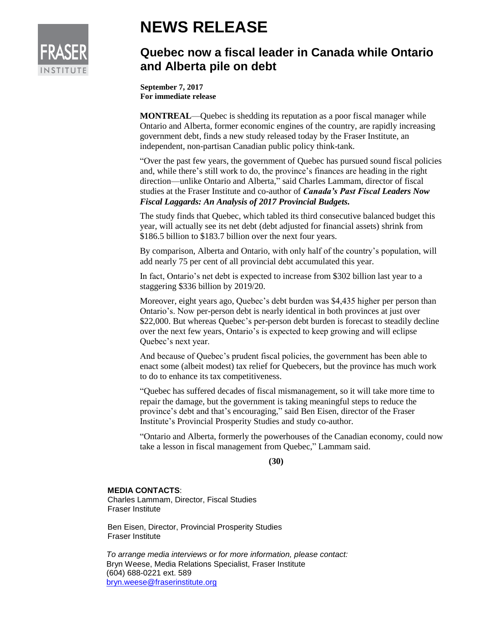

## **NEWS RELEASE**

## **Quebec now a fiscal leader in Canada while Ontario and Alberta pile on debt**

**September 7, 2017 For immediate release**

**MONTREAL**—Quebec is shedding its reputation as a poor fiscal manager while Ontario and Alberta, former economic engines of the country, are rapidly increasing government debt, finds a new study released today by the Fraser Institute, an independent, non-partisan Canadian public policy think-tank.

"Over the past few years, the government of Quebec has pursued sound fiscal policies and, while there's still work to do, the province's finances are heading in the right direction—unlike Ontario and Alberta," said Charles Lammam, director of fiscal studies at the Fraser Institute and co-author of *Canada's Past Fiscal Leaders Now Fiscal Laggards: An Analysis of 2017 Provincial Budgets.*

The study finds that Quebec, which tabled its third consecutive balanced budget this year, will actually see its net debt (debt adjusted for financial assets) shrink from \$186.5 billion to \$183.7 billion over the next four years.

By comparison, Alberta and Ontario, with only half of the country's population, will add nearly 75 per cent of all provincial debt accumulated this year.

In fact, Ontario's net debt is expected to increase from \$302 billion last year to a staggering \$336 billion by 2019/20.

Moreover, eight years ago, Quebec's debt burden was \$4,435 higher per person than Ontario's. Now per-person debt is nearly identical in both provinces at just over \$22,000. But whereas Quebec's per-person debt burden is forecast to steadily decline over the next few years, Ontario's is expected to keep growing and will eclipse Quebec's next year.

And because of Quebec's prudent fiscal policies, the government has been able to enact some (albeit modest) tax relief for Quebecers, but the province has much work to do to enhance its tax competitiveness.

"Quebec has suffered decades of fiscal mismanagement, so it will take more time to repair the damage, but the government is taking meaningful steps to reduce the province's debt and that's encouraging," said Ben Eisen, director of the Fraser Institute's Provincial Prosperity Studies and study co-author.

"Ontario and Alberta, formerly the powerhouses of the Canadian economy, could now take a lesson in fiscal management from Quebec," Lammam said.

## **(30)**

## **MEDIA CONTACTS**:

Charles Lammam, Director, Fiscal Studies Fraser Institute

Ben Eisen, Director, Provincial Prosperity Studies Fraser Institute

*To arrange media interviews or for more information, please contact:*  Bryn Weese, Media Relations Specialist, Fraser Institute (604) 688-0221 ext. 589 [bryn.weese@fraserinstitute.org](mailto:bryn.weese@fraserinstitute.org)